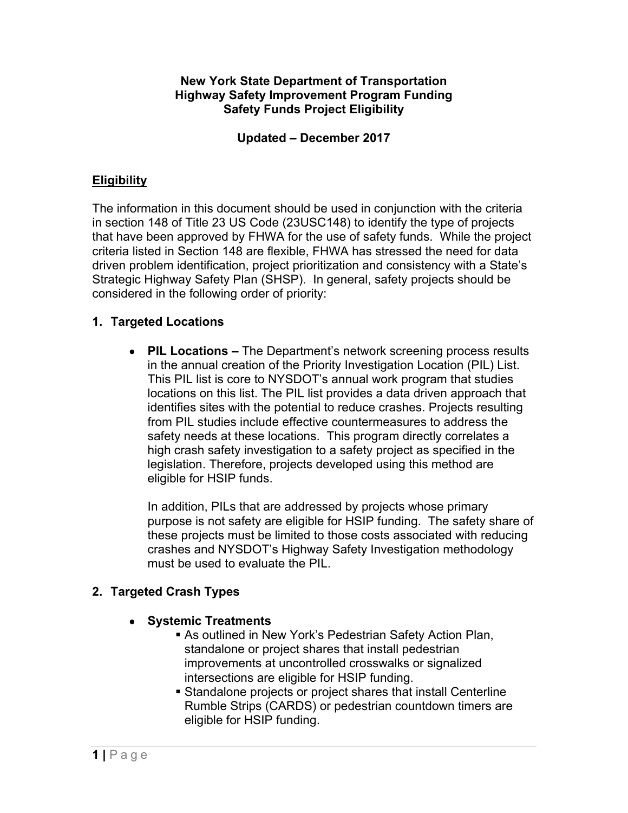#### **New York State Department of Transportation Highway Safety Improvement Program Funding Safety Funds Project Eligibility**

#### **Updated – December 2017**

### **Eligibility**

The information in this document should be used in conjunction with the criteria in section 148 of Title 23 US Code (23USC148) to identify the type of projects that have been approved by FHWA for the use of safety funds. While the project criteria listed in Section 148 are flexible, FHWA has stressed the need for data driven problem identification, project prioritization and consistency with a State's Strategic Highway Safety Plan (SHSP). In general, safety projects should be considered in the following order of priority:

#### **1. Targeted Locations**

 **PIL Locations –** The Department's network screening process results in the annual creation of the Priority Investigation Location (PIL) List. This PIL list is core to NYSDOT's annual work program that studies locations on this list. The PIL list provides a data driven approach that identifies sites with the potential to reduce crashes. Projects resulting from PIL studies include effective countermeasures to address the safety needs at these locations. This program directly correlates a high crash safety investigation to a safety project as specified in the legislation. Therefore, projects developed using this method are eligible for HSIP funds.

In addition, PILs that are addressed by projects whose primary purpose is not safety are eligible for HSIP funding. The safety share of these projects must be limited to those costs associated with reducing crashes and NYSDOT's Highway Safety Investigation methodology must be used to evaluate the PIL.

### **2. Targeted Crash Types**

#### **Systemic Treatments**

- As outlined in New York's Pedestrian Safety Action Plan, standalone or project shares that install pedestrian improvements at uncontrolled crosswalks or signalized intersections are eligible for HSIP funding.
- Standalone projects or project shares that install Centerline Rumble Strips (CARDS) or pedestrian countdown timers are eligible for HSIP funding.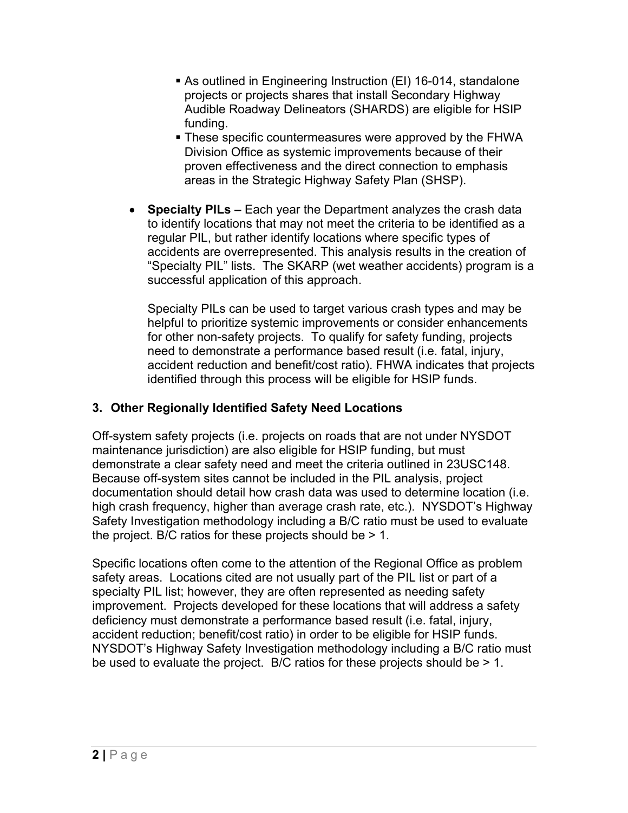- As outlined in Engineering Instruction (EI) 16-014, standalone projects or projects shares that install Secondary Highway Audible Roadway Delineators (SHARDS) are eligible for HSIP funding.
- These specific countermeasures were approved by the FHWA Division Office as systemic improvements because of their proven effectiveness and the direct connection to emphasis areas in the Strategic Highway Safety Plan (SHSP).
- **Specialty PILs** Each year the Department analyzes the crash data to identify locations that may not meet the criteria to be identified as a regular PIL, but rather identify locations where specific types of accidents are overrepresented. This analysis results in the creation of "Specialty PIL" lists. The SKARP (wet weather accidents) program is a successful application of this approach.

Specialty PILs can be used to target various crash types and may be helpful to prioritize systemic improvements or consider enhancements for other non-safety projects. To qualify for safety funding, projects need to demonstrate a performance based result (i.e. fatal, injury, accident reduction and benefit/cost ratio). FHWA indicates that projects identified through this process will be eligible for HSIP funds.

### **3. Other Regionally Identified Safety Need Locations**

Off-system safety projects (i.e. projects on roads that are not under NYSDOT maintenance jurisdiction) are also eligible for HSIP funding, but must demonstrate a clear safety need and meet the criteria outlined in 23USC148. Because off-system sites cannot be included in the PIL analysis, project documentation should detail how crash data was used to determine location (i.e. high crash frequency, higher than average crash rate, etc.). NYSDOT's Highway Safety Investigation methodology including a B/C ratio must be used to evaluate the project. B/C ratios for these projects should be > 1.

Specific locations often come to the attention of the Regional Office as problem safety areas. Locations cited are not usually part of the PIL list or part of a specialty PIL list; however, they are often represented as needing safety improvement. Projects developed for these locations that will address a safety deficiency must demonstrate a performance based result (i.e. fatal, injury, accident reduction; benefit/cost ratio) in order to be eligible for HSIP funds. NYSDOT's Highway Safety Investigation methodology including a B/C ratio must be used to evaluate the project. B/C ratios for these projects should be > 1.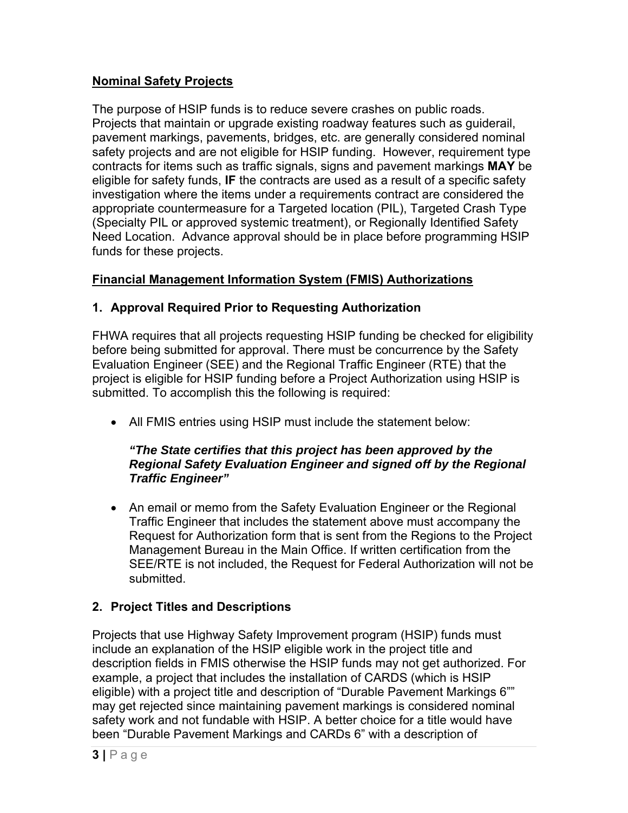## **Nominal Safety Projects**

The purpose of HSIP funds is to reduce severe crashes on public roads. Projects that maintain or upgrade existing roadway features such as guiderail, pavement markings, pavements, bridges, etc. are generally considered nominal safety projects and are not eligible for HSIP funding. However, requirement type contracts for items such as traffic signals, signs and pavement markings **MAY** be eligible for safety funds, **IF** the contracts are used as a result of a specific safety investigation where the items under a requirements contract are considered the appropriate countermeasure for a Targeted location (PIL), Targeted Crash Type (Specialty PIL or approved systemic treatment), or Regionally Identified Safety Need Location. Advance approval should be in place before programming HSIP funds for these projects.

## **Financial Management Information System (FMIS) Authorizations**

## **1. Approval Required Prior to Requesting Authorization**

FHWA requires that all projects requesting HSIP funding be checked for eligibility before being submitted for approval. There must be concurrence by the Safety Evaluation Engineer (SEE) and the Regional Traffic Engineer (RTE) that the project is eligible for HSIP funding before a Project Authorization using HSIP is submitted. To accomplish this the following is required:

All FMIS entries using HSIP must include the statement below:

#### *"The State certifies that this project has been approved by the Regional Safety Evaluation Engineer and signed off by the Regional Traffic Engineer"*

• An email or memo from the Safety Evaluation Engineer or the Regional Traffic Engineer that includes the statement above must accompany the Request for Authorization form that is sent from the Regions to the Project Management Bureau in the Main Office. If written certification from the SEE/RTE is not included, the Request for Federal Authorization will not be submitted.

# **2. Project Titles and Descriptions**

Projects that use Highway Safety Improvement program (HSIP) funds must include an explanation of the HSIP eligible work in the project title and description fields in FMIS otherwise the HSIP funds may not get authorized. For example, a project that includes the installation of CARDS (which is HSIP eligible) with a project title and description of "Durable Pavement Markings 6"" may get rejected since maintaining pavement markings is considered nominal safety work and not fundable with HSIP. A better choice for a title would have been "Durable Pavement Markings and CARDs 6" with a description of